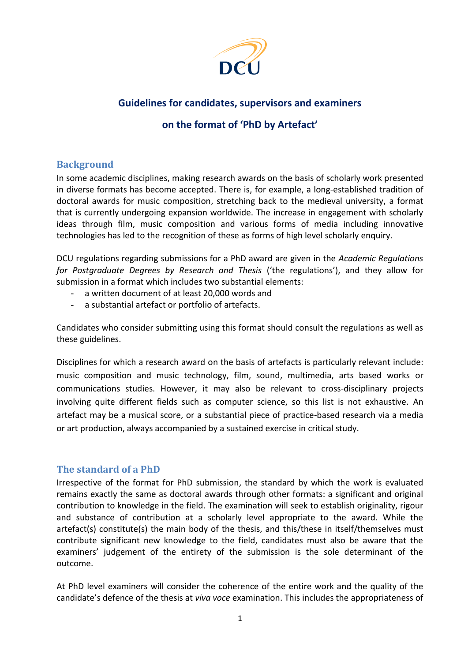

# **Guidelines for candidates, supervisors and examiners**

# **on the format of 'PhD by Artefact'**

### **Background**

In some academic disciplines, making research awards on the basis of scholarly work presented in diverse formats has become accepted. There is, for example, a long-established tradition of doctoral awards for music composition, stretching back to the medieval university, a format that is currently undergoing expansion worldwide. The increase in engagement with scholarly ideas through film, music composition and various forms of media including innovative technologies has led to the recognition of these as forms of high level scholarly enquiry.

DCU regulations regarding submissions for a PhD award are given in the *Academic Regulations for Postgraduate Degrees by Research and Thesis* ('the regulations'), and they allow for submission in a format which includes two substantial elements:

- a written document of at least 20,000 words and
- a substantial artefact or portfolio of artefacts.

Candidates who consider submitting using this format should consult the regulations as well as these guidelines.

Disciplines for which a research award on the basis of artefacts is particularly relevant include: music composition and music technology, film, sound, multimedia, arts based works or communications studies. However, it may also be relevant to cross-disciplinary projects involving quite different fields such as computer science, so this list is not exhaustive. An artefact may be a musical score, or a substantial piece of practice-based research via a media or art production, always accompanied by a sustained exercise in critical study.

### **The standard of a PhD**

Irrespective of the format for PhD submission, the standard by which the work is evaluated remains exactly the same as doctoral awards through other formats: a significant and original contribution to knowledge in the field. The examination will seek to establish originality, rigour and substance of contribution at a scholarly level appropriate to the award. While the artefact(s) constitute(s) the main body of the thesis, and this/these in itself/themselves must contribute significant new knowledge to the field, candidates must also be aware that the examiners' judgement of the entirety of the submission is the sole determinant of the outcome.

At PhD level examiners will consider the coherence of the entire work and the quality of the candidate's defence of the thesis at *viva voce* examination. This includes the appropriateness of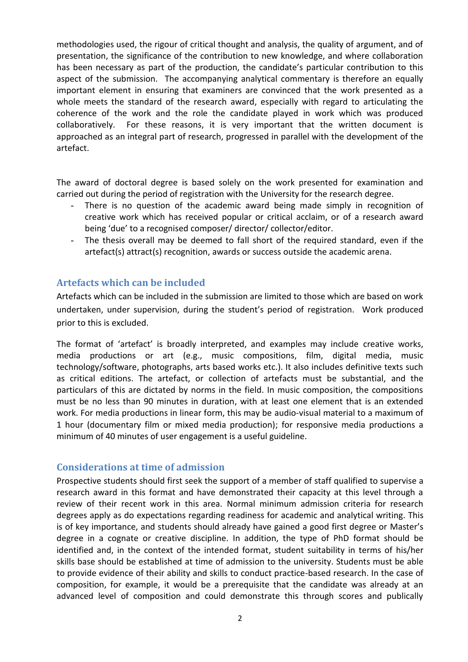methodologies used, the rigour of critical thought and analysis, the quality of argument, and of presentation, the significance of the contribution to new knowledge, and where collaboration has been necessary as part of the production, the candidate's particular contribution to this aspect of the submission. The accompanying analytical commentary is therefore an equally important element in ensuring that examiners are convinced that the work presented as a whole meets the standard of the research award, especially with regard to articulating the coherence of the work and the role the candidate played in work which was produced collaboratively. For these reasons, it is very important that the written document is approached as an integral part of research, progressed in parallel with the development of the artefact.

The award of doctoral degree is based solely on the work presented for examination and carried out during the period of registration with the University for the research degree.

- There is no question of the academic award being made simply in recognition of creative work which has received popular or critical acclaim, or of a research award being 'due' to a recognised composer/ director/ collector/editor.
- The thesis overall may be deemed to fall short of the required standard, even if the artefact(s) attract(s) recognition, awards or success outside the academic arena.

## **Artefacts which can be included**

Artefacts which can be included in the submission are limited to those which are based on work undertaken, under supervision, during the student's period of registration. Work produced prior to this is excluded.

The format of 'artefact' is broadly interpreted, and examples may include creative works, media productions or art (e.g., music compositions, film, digital media, music technology/software, photographs, arts based works etc.). It also includes definitive texts such as critical editions. The artefact, or collection of artefacts must be substantial, and the particulars of this are dictated by norms in the field. In music composition, the compositions must be no less than 90 minutes in duration, with at least one element that is an extended work. For media productions in linear form, this may be audio-visual material to a maximum of 1 hour (documentary film or mixed media production); for responsive media productions a minimum of 40 minutes of user engagement is a useful guideline.

### **Considerations at time of admission**

Prospective students should first seek the support of a member of staff qualified to supervise a research award in this format and have demonstrated their capacity at this level through a review of their recent work in this area. Normal minimum admission criteria for research degrees apply as do expectations regarding readiness for academic and analytical writing. This is of key importance, and students should already have gained a good first degree or Master's degree in a cognate or creative discipline. In addition, the type of PhD format should be identified and, in the context of the intended format, student suitability in terms of his/her skills base should be established at time of admission to the university. Students must be able to provide evidence of their ability and skills to conduct practice-based research. In the case of composition, for example, it would be a prerequisite that the candidate was already at an advanced level of composition and could demonstrate this through scores and publically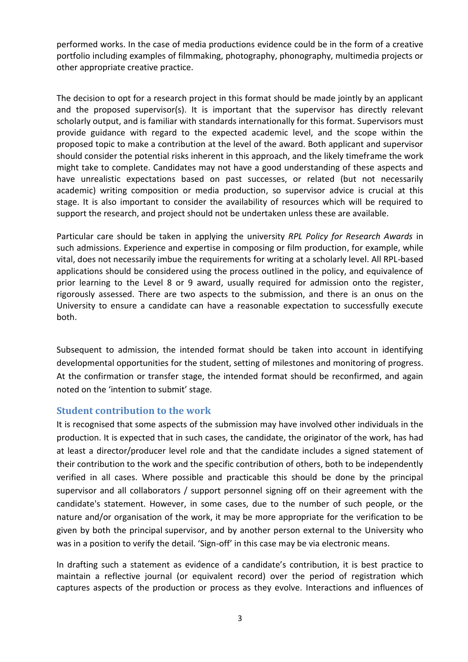performed works. In the case of media productions evidence could be in the form of a creative portfolio including examples of filmmaking, photography, phonography, multimedia projects or other appropriate creative practice.

The decision to opt for a research project in this format should be made jointly by an applicant and the proposed supervisor(s). It is important that the supervisor has directly relevant scholarly output, and is familiar with standards internationally for this format. Supervisors must provide guidance with regard to the expected academic level, and the scope within the proposed topic to make a contribution at the level of the award. Both applicant and supervisor should consider the potential risks inherent in this approach, and the likely timeframe the work might take to complete. Candidates may not have a good understanding of these aspects and have unrealistic expectations based on past successes, or related (but not necessarily academic) writing composition or media production, so supervisor advice is crucial at this stage. It is also important to consider the availability of resources which will be required to support the research, and project should not be undertaken unless these are available.

Particular care should be taken in applying the university *RPL Policy for Research Awards* in such admissions. Experience and expertise in composing or film production, for example, while vital, does not necessarily imbue the requirements for writing at a scholarly level. All RPL-based applications should be considered using the process outlined in the policy, and equivalence of prior learning to the Level 8 or 9 award, usually required for admission onto the register, rigorously assessed. There are two aspects to the submission, and there is an onus on the University to ensure a candidate can have a reasonable expectation to successfully execute both.

Subsequent to admission, the intended format should be taken into account in identifying developmental opportunities for the student, setting of milestones and monitoring of progress. At the confirmation or transfer stage, the intended format should be reconfirmed, and again noted on the 'intention to submit' stage.

### **Student contribution to the work**

It is recognised that some aspects of the submission may have involved other individuals in the production. It is expected that in such cases, the candidate, the originator of the work, has had at least a director/producer level role and that the candidate includes a signed statement of their contribution to the work and the specific contribution of others, both to be independently verified in all cases. Where possible and practicable this should be done by the principal supervisor and all collaborators / support personnel signing off on their agreement with the candidate's statement. However, in some cases, due to the number of such people, or the nature and/or organisation of the work, it may be more appropriate for the verification to be given by both the principal supervisor, and by another person external to the University who was in a position to verify the detail. 'Sign-off' in this case may be via electronic means.

In drafting such a statement as evidence of a candidate's contribution, it is best practice to maintain a reflective journal (or equivalent record) over the period of registration which captures aspects of the production or process as they evolve. Interactions and influences of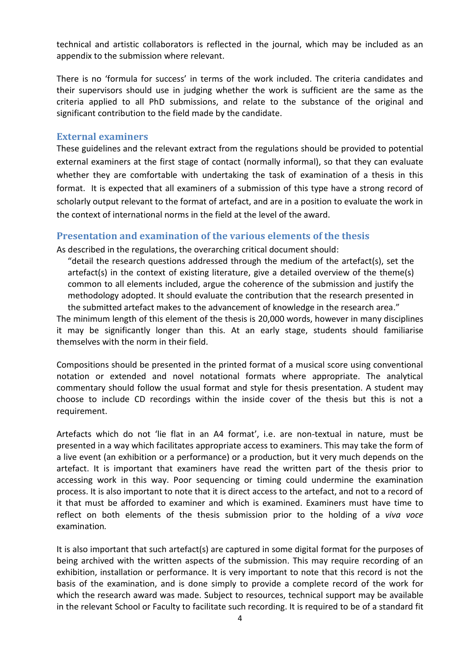technical and artistic collaborators is reflected in the journal, which may be included as an appendix to the submission where relevant.

There is no 'formula for success' in terms of the work included. The criteria candidates and their supervisors should use in judging whether the work is sufficient are the same as the criteria applied to all PhD submissions, and relate to the substance of the original and significant contribution to the field made by the candidate.

#### **External examiners**

These guidelines and the relevant extract from the regulations should be provided to potential external examiners at the first stage of contact (normally informal), so that they can evaluate whether they are comfortable with undertaking the task of examination of a thesis in this format. It is expected that all examiners of a submission of this type have a strong record of scholarly output relevant to the format of artefact, and are in a position to evaluate the work in the context of international norms in the field at the level of the award.

#### **Presentation and examination of the various elements of the thesis**

As described in the regulations, the overarching critical document should:

"detail the research questions addressed through the medium of the artefact(s), set the artefact(s) in the context of existing literature, give a detailed overview of the theme(s) common to all elements included, argue the coherence of the submission and justify the methodology adopted. It should evaluate the contribution that the research presented in the submitted artefact makes to the advancement of knowledge in the research area."

The minimum length of this element of the thesis is 20,000 words, however in many disciplines it may be significantly longer than this. At an early stage, students should familiarise themselves with the norm in their field.

Compositions should be presented in the printed format of a musical score using conventional notation or extended and novel notational formats where appropriate. The analytical commentary should follow the usual format and style for thesis presentation. A student may choose to include CD recordings within the inside cover of the thesis but this is not a requirement.

Artefacts which do not 'lie flat in an A4 format', i.e. are non-textual in nature, must be presented in a way which facilitates appropriate access to examiners. This may take the form of a live event (an exhibition or a performance) or a production, but it very much depends on the artefact. It is important that examiners have read the written part of the thesis prior to accessing work in this way. Poor sequencing or timing could undermine the examination process. It is also important to note that it is direct access to the artefact, and not to a record of it that must be afforded to examiner and which is examined. Examiners must have time to reflect on both elements of the thesis submission prior to the holding of a *viva voce* examination*.*

It is also important that such artefact(s) are captured in some digital format for the purposes of being archived with the written aspects of the submission. This may require recording of an exhibition, installation or performance. It is very important to note that this record is not the basis of the examination, and is done simply to provide a complete record of the work for which the research award was made. Subject to resources, technical support may be available in the relevant School or Faculty to facilitate such recording. It is required to be of a standard fit